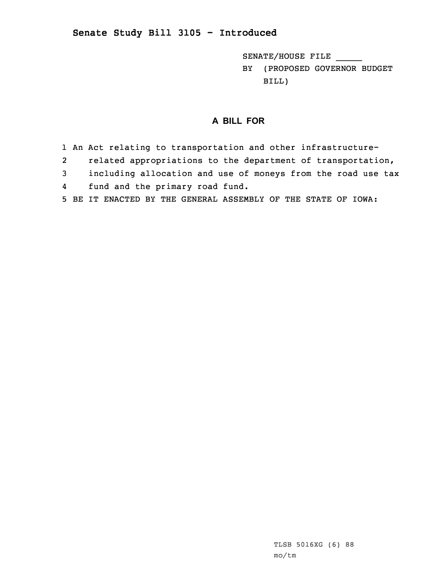## **Senate Study Bill 3105 - Introduced**

SENATE/HOUSE FILE \_\_\_\_\_

BY (PROPOSED GOVERNOR BUDGET BILL)

## **A BILL FOR**

- 1 An Act relating to transportation and other infrastructure-
- 2related appropriations to the department of transportation,
- 3 including allocation and use of moneys from the road use tax
- 4fund and the primary road fund.
- 5 BE IT ENACTED BY THE GENERAL ASSEMBLY OF THE STATE OF IOWA: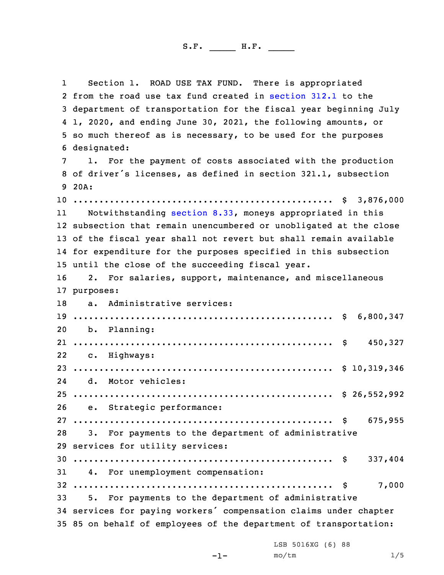1 Section 1. ROAD USE TAX FUND. There is appropriated from the road use tax fund created in [section](https://www.legis.iowa.gov/docs/code/2020/312.1.pdf) 312.1 to the department of transportation for the fiscal year beginning July 1, 2020, and ending June 30, 2021, the following amounts, or so much thereof as is necessary, to be used for the purposes designated: 1. For the payment of costs associated with the production of driver's licenses, as defined in section 321.1, subsection 9 20A: .................................................. \$ 3,876,000 11 Notwithstanding [section](https://www.legis.iowa.gov/docs/code/2020/8.33.pdf) 8.33, moneys appropriated in this subsection that remain unencumbered or unobligated at the close of the fiscal year shall not revert but shall remain available for expenditure for the purposes specified in this subsection until the close of the succeeding fiscal year. 2. For salaries, support, maintenance, and miscellaneous purposes: a. Administrative services: .................................................. \$ 6,800,347 b. Planning: .................................................. \$ 450,327 c. Highways: .................................................. \$ 10,319,346 24 d. Motor vehicles: .................................................. \$ 26,552,992 e. Strategic performance: .................................................. \$ 675,955 3. For payments to the department of administrative services for utility services: .................................................. \$ 337,404 4. For unemployment compensation: .................................................. \$ 7,000 5. For payments to the department of administrative services for paying workers' compensation claims under chapter 85 on behalf of employees of the department of transportation:

LSB 5016XG (6) 88

 $-1-$ 

 $mO/tm$  1/5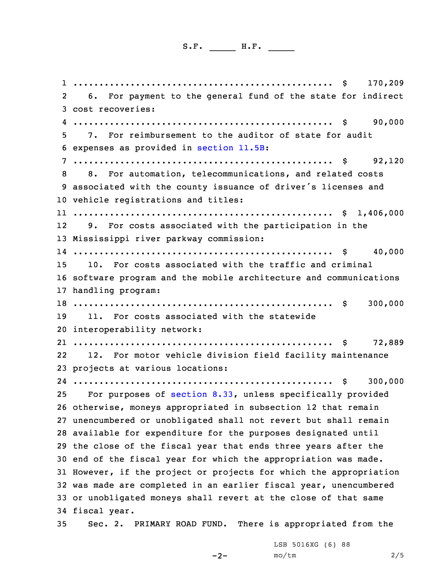.................................................. \$ 170,209 6. For payment to the general fund of the state for indirect cost recoveries: .................................................. \$ 90,000 7. For reimbursement to the auditor of state for audit expenses as provided in [section](https://www.legis.iowa.gov/docs/code/2020/11.5B.pdf) 11.5B: .................................................. \$ 92,120 8. For automation, telecommunications, and related costs associated with the county issuance of driver's licenses and vehicle registrations and titles: .................................................. \$ 1,406,000 12 9. For costs associated with the participation in the Mississippi river parkway commission: .................................................. \$ 40,000 10. For costs associated with the traffic and criminal software program and the mobile architecture and communications handling program: .................................................. \$ 300,000 11. For costs associated with the statewide interoperability network: .................................................. \$ 72,889 22 12. For motor vehicle division field facility maintenance projects at various locations: .................................................. \$ 300,000 For purposes of [section](https://www.legis.iowa.gov/docs/code/2020/8.33.pdf) 8.33, unless specifically provided otherwise, moneys appropriated in subsection 12 that remain unencumbered or unobligated shall not revert but shall remain available for expenditure for the purposes designated until the close of the fiscal year that ends three years after the end of the fiscal year for which the appropriation was made. However, if the project or projects for which the appropriation was made are completed in an earlier fiscal year, unencumbered or unobligated moneys shall revert at the close of that same fiscal year. Sec. 2. PRIMARY ROAD FUND. There is appropriated from the

 $-2-$ 

LSB 5016XG (6) 88 mo/tm 2/5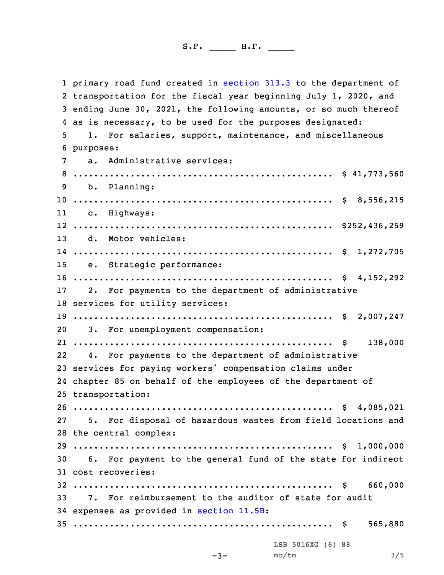primary road fund created in [section](https://www.legis.iowa.gov/docs/code/2020/313.3.pdf) 313.3 to the department of transportation for the fiscal year beginning July 1, 2020, and ending June 30, 2021, the following amounts, or so much thereof as is necessary, to be used for the purposes designated: 1. For salaries, support, maintenance, and miscellaneous purposes: a. Administrative services: .................................................. \$ 41,773,560 b. Planning: .................................................. \$ 8,556,215 11 c. Highways: .................................................. \$252,436,259 d. Motor vehicles: .................................................. \$ 1,272,705 e. Strategic performance: .................................................. \$ 4,152,292 2. For payments to the department of administrative services for utility services: .................................................. \$ 2,007,247 3. For unemployment compensation: .................................................. \$ 138,000 22 4. For payments to the department of administrative services for paying workers' compensation claims under chapter 85 on behalf of the employees of the department of transportation: .................................................. \$ 4,085,021 5. For disposal of hazardous wastes from field locations and the central complex: .................................................. \$ 1,000,000 6. For payment to the general fund of the state for indirect cost recoveries: .................................................. \$ 660,000 7. For reimbursement to the auditor of state for audit expenses as provided in [section](https://www.legis.iowa.gov/docs/code/2020/11.5B.pdf) 11.5B: .................................................. \$ 565,880 -3- LSB 5016XG (6) 88  $\text{mo}/\text{tm}$  3/5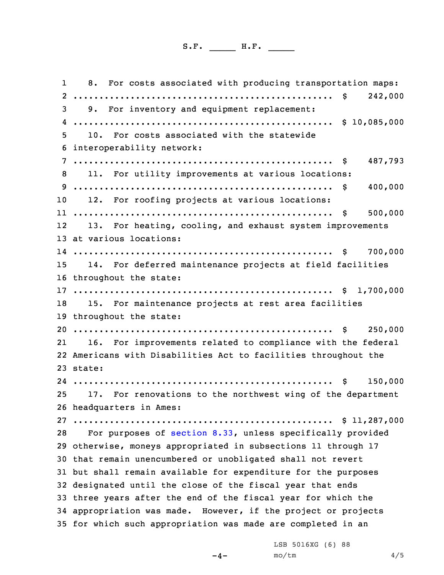1 8. For costs associated with producing transportation maps: .................................................. \$ 242,000 9. For inventory and equipment replacement: .................................................. \$ 10,085,000 10. For costs associated with the statewide interoperability network: .................................................. \$ 487,793 11. For utility improvements at various locations: .................................................. \$ 400,000 12. For roofing projects at various locations: .................................................. \$ 500,000 12 13. For heating, cooling, and exhaust system improvements at various locations: .................................................. \$ 700,000 14. For deferred maintenance projects at field facilities throughout the state: .................................................. \$ 1,700,000 15. For maintenance projects at rest area facilities throughout the state: .................................................. \$ 250,000 21 16. For improvements related to compliance with the federal Americans with Disabilities Act to facilities throughout the 23 state: .................................................. \$ 150,000 17. For renovations to the northwest wing of the department headquarters in Ames: .................................................. \$ 11,287,000 For purposes of [section](https://www.legis.iowa.gov/docs/code/2020/8.33.pdf) 8.33, unless specifically provided otherwise, moneys appropriated in subsections 11 through 17 that remain unencumbered or unobligated shall not revert but shall remain available for expenditure for the purposes designated until the close of the fiscal year that ends three years after the end of the fiscal year for which the appropriation was made. However, if the project or projects for which such appropriation was made are completed in an

 $-4-$ 

LSB 5016XG (6) 88  $mO/tm$  4/5